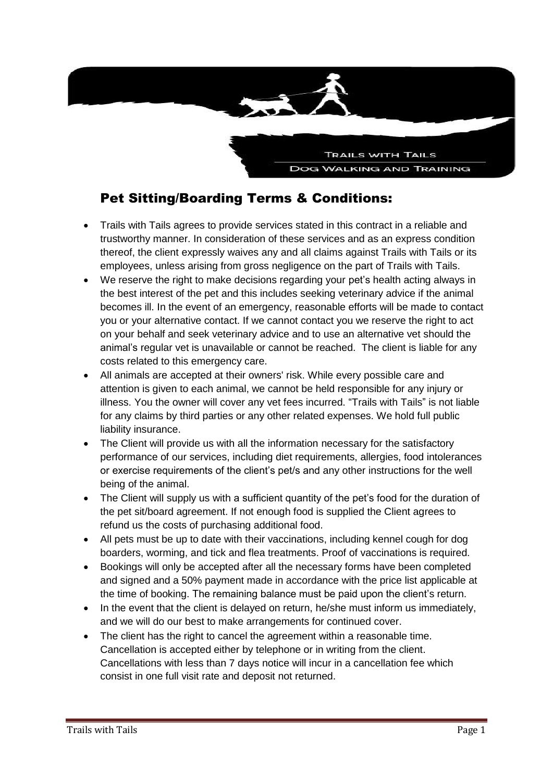

# Pet Sitting/Boarding Terms & Conditions:

- Trails with Tails agrees to provide services stated in this contract in a reliable and trustworthy manner. In consideration of these services and as an express condition thereof, the client expressly waives any and all claims against Trails with Tails or its employees, unless arising from gross negligence on the part of Trails with Tails.
- We reserve the right to make decisions regarding your pet's health acting always in the best interest of the pet and this includes seeking veterinary advice if the animal becomes ill. In the event of an emergency, reasonable efforts will be made to contact you or your alternative contact. If we cannot contact you we reserve the right to act on your behalf and seek veterinary advice and to use an alternative vet should the animal's regular vet is unavailable or cannot be reached. The client is liable for any costs related to this emergency care.
- All animals are accepted at their owners' risk. While every possible care and attention is given to each animal, we cannot be held responsible for any injury or illness. You the owner will cover any vet fees incurred. "Trails with Tails" is not liable for any claims by third parties or any other related expenses. We hold full public liability insurance.
- The Client will provide us with all the information necessary for the satisfactory performance of our services, including diet requirements, allergies, food intolerances or exercise requirements of the client's pet/s and any other instructions for the well being of the animal.
- The Client will supply us with a sufficient quantity of the pet's food for the duration of the pet sit/board agreement. If not enough food is supplied the Client agrees to refund us the costs of purchasing additional food.
- All pets must be up to date with their vaccinations, including kennel cough for dog boarders, worming, and tick and flea treatments. Proof of vaccinations is required.
- Bookings will only be accepted after all the necessary forms have been completed and signed and a 50% payment made in accordance with the price list applicable at the time of booking. The remaining balance must be paid upon the client's return.
- In the event that the client is delayed on return, he/she must inform us immediately, and we will do our best to make arrangements for continued cover.
- The client has the right to cancel the agreement within a reasonable time. Cancellation is accepted either by telephone or in writing from the client. Cancellations with less than 7 days notice will incur in a cancellation fee which consist in one full visit rate and deposit not returned.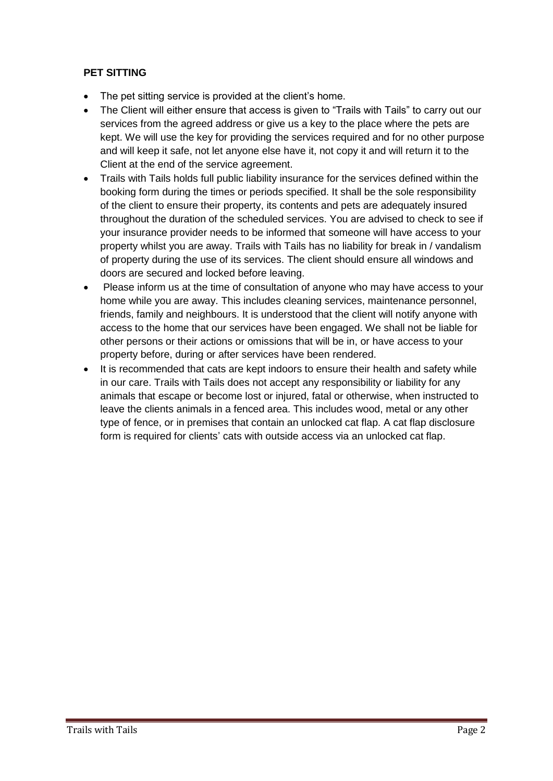#### **PET SITTING**

- The pet sitting service is provided at the client's home.
- The Client will either ensure that access is given to "Trails with Tails" to carry out our services from the agreed address or give us a key to the place where the pets are kept. We will use the key for providing the services required and for no other purpose and will keep it safe, not let anyone else have it, not copy it and will return it to the Client at the end of the service agreement.
- Trails with Tails holds full public liability insurance for the services defined within the booking form during the times or periods specified. It shall be the sole responsibility of the client to ensure their property, its contents and pets are adequately insured throughout the duration of the scheduled services. You are advised to check to see if your insurance provider needs to be informed that someone will have access to your property whilst you are away. Trails with Tails has no liability for break in / vandalism of property during the use of its services. The client should ensure all windows and doors are secured and locked before leaving.
- Please inform us at the time of consultation of anyone who may have access to your home while you are away. This includes cleaning services, maintenance personnel, friends, family and neighbours. It is understood that the client will notify anyone with access to the home that our services have been engaged. We shall not be liable for other persons or their actions or omissions that will be in, or have access to your property before, during or after services have been rendered.
- It is recommended that cats are kept indoors to ensure their health and safety while in our care. Trails with Tails does not accept any responsibility or liability for any animals that escape or become lost or injured, fatal or otherwise, when instructed to leave the clients animals in a fenced area. This includes wood, metal or any other type of fence, or in premises that contain an unlocked cat flap. A cat flap disclosure form is required for clients' cats with outside access via an unlocked cat flap.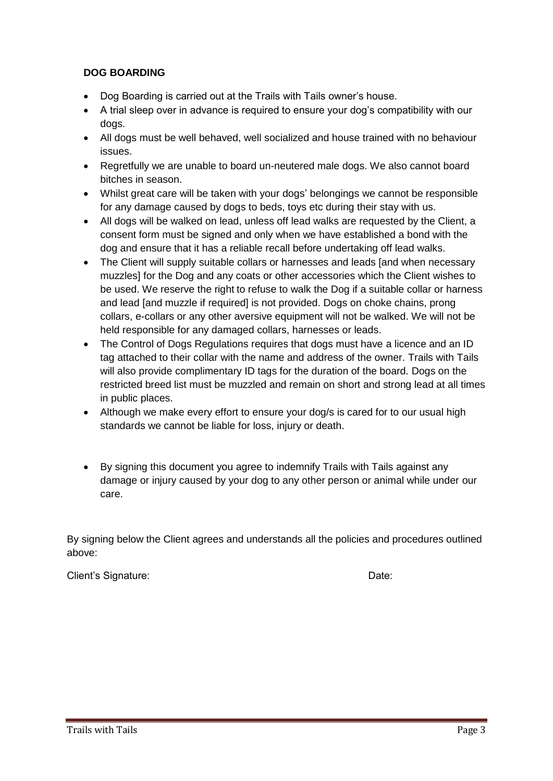#### **DOG BOARDING**

- Dog Boarding is carried out at the Trails with Tails owner's house.
- A trial sleep over in advance is required to ensure your dog's compatibility with our dogs.
- All dogs must be well behaved, well socialized and house trained with no behaviour issues.
- Regretfully we are unable to board un-neutered male dogs. We also cannot board bitches in season.
- Whilst great care will be taken with your dogs' belongings we cannot be responsible for any damage caused by dogs to beds, toys etc during their stay with us.
- All dogs will be walked on lead, unless off lead walks are requested by the Client, a consent form must be signed and only when we have established a bond with the dog and ensure that it has a reliable recall before undertaking off lead walks.
- The Client will supply suitable collars or harnesses and leads [and when necessary muzzles] for the Dog and any coats or other accessories which the Client wishes to be used. We reserve the right to refuse to walk the Dog if a suitable collar or harness and lead [and muzzle if required] is not provided. Dogs on choke chains, prong collars, e-collars or any other aversive equipment will not be walked. We will not be held responsible for any damaged collars, harnesses or leads.
- The Control of Dogs Regulations requires that dogs must have a licence and an ID tag attached to their collar with the name and address of the owner. Trails with Tails will also provide complimentary ID tags for the duration of the board. Dogs on the restricted breed list must be muzzled and remain on short and strong lead at all times in public places.
- Although we make every effort to ensure your dog/s is cared for to our usual high standards we cannot be liable for loss, injury or death.
- By signing this document you agree to indemnify Trails with Tails against any damage or injury caused by your dog to any other person or animal while under our care.

By signing below the Client agrees and understands all the policies and procedures outlined above:

Client's Signature: Date: Date: Date: Date: Date: Date: Date: Date: Date: Date: Date: Date: Date: Date: Date: Date: Date: Date: Date: Date: Date: Date: Date: Date: Date: Date: Date: Date: Date: Date: Date: Date: Date: Date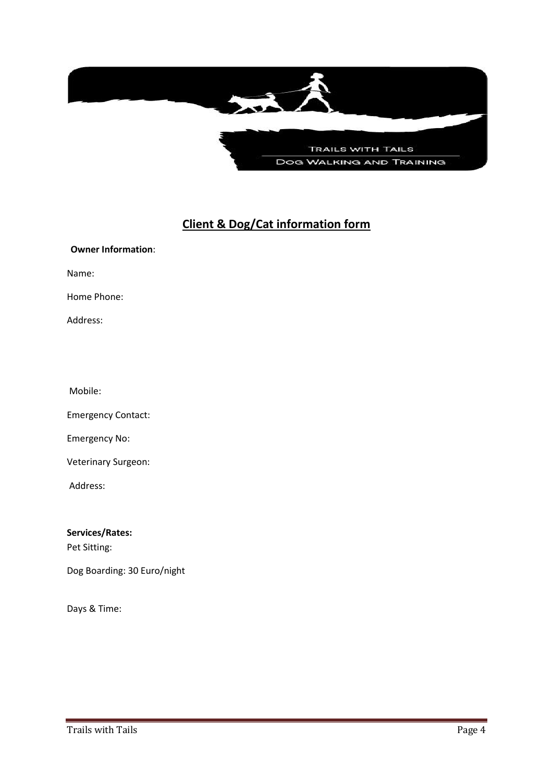

## **Client & Dog/Cat information form**

**Owner Information**: Name: Home Phone: Address: Mobile: Emergency Contact: Emergency No: Veterinary Surgeon: Address:

**Services/Rates:**

Pet Sitting:

Dog Boarding: 30 Euro/night

Days & Time: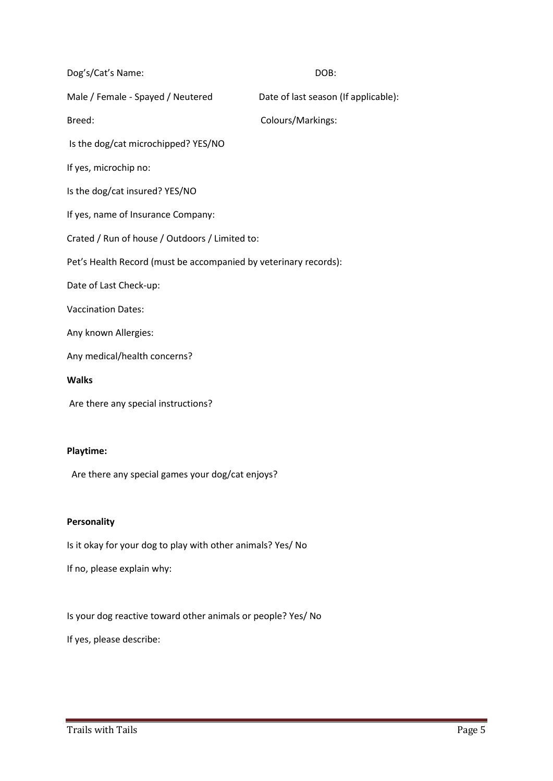| Dog's/Cat's Name:                                                | DOB:                                 |
|------------------------------------------------------------------|--------------------------------------|
| Male / Female - Spayed / Neutered                                | Date of last season (If applicable): |
| Breed:                                                           | Colours/Markings:                    |
| Is the dog/cat microchipped? YES/NO                              |                                      |
| If yes, microchip no:                                            |                                      |
| Is the dog/cat insured? YES/NO                                   |                                      |
| If yes, name of Insurance Company:                               |                                      |
| Crated / Run of house / Outdoors / Limited to:                   |                                      |
| Pet's Health Record (must be accompanied by veterinary records): |                                      |
| Date of Last Check-up:                                           |                                      |
| <b>Vaccination Dates:</b>                                        |                                      |
| Any known Allergies:                                             |                                      |
| Any medical/health concerns?                                     |                                      |
| <b>Walks</b>                                                     |                                      |
| Are there any special instructions?                              |                                      |
|                                                                  |                                      |
| <b>Playtime:</b>                                                 |                                      |
| Are there any special games your dog/cat enjoys?                 |                                      |
|                                                                  |                                      |

### **Personality**

Is it okay for your dog to play with other animals? Yes/ No

If no, please explain why:

Is your dog reactive toward other animals or people? Yes/ No

If yes, please describe: